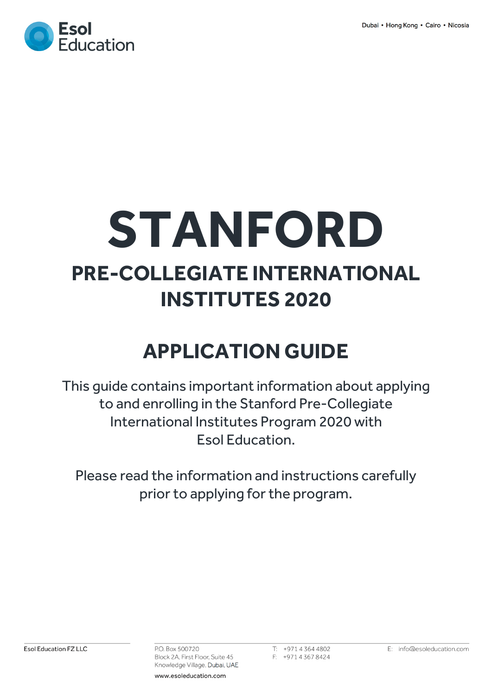

# **STANFORD PRE-COLLEGIATE INTERNATIONAL INSTITUTES 2020**

# **APPLICATION GUIDE**

This guide contains important information about applying to and enrolling in the Stanford Pre-Collegiate International Institutes Program 2020 with Esol Education.

Please read the information and instructions carefully prior to applying for the program.

P.O. Box 500720 Block 2A, First Floor, Suite 45 Knowledge Village, Dubai, UAE

 $T: +97143644802$ F: +97143678424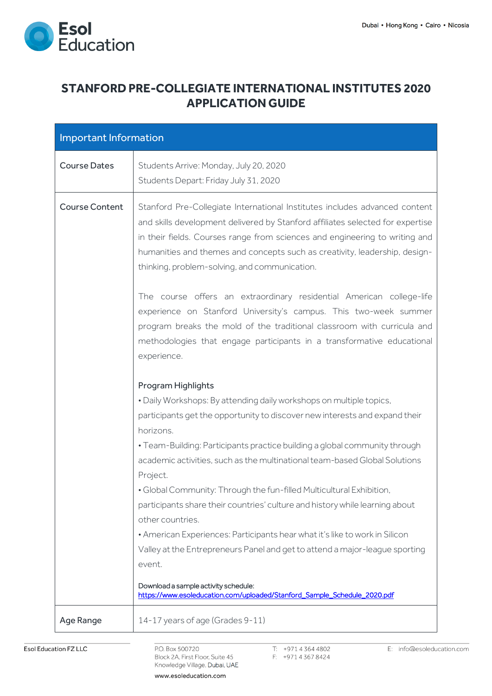

## **STANFORD PRE-COLLEGIATE INTERNATIONAL INSTITUTES 2020 APPLICATION GUIDE**

| Important Information |                                                                                                                                                                                                                                                                                                                                                                                                                                                                                                                                                                                                                                                                                                                                                                                                                                                                                                                                                                                                                                                                                                                                                                                                                                                                                                                        |
|-----------------------|------------------------------------------------------------------------------------------------------------------------------------------------------------------------------------------------------------------------------------------------------------------------------------------------------------------------------------------------------------------------------------------------------------------------------------------------------------------------------------------------------------------------------------------------------------------------------------------------------------------------------------------------------------------------------------------------------------------------------------------------------------------------------------------------------------------------------------------------------------------------------------------------------------------------------------------------------------------------------------------------------------------------------------------------------------------------------------------------------------------------------------------------------------------------------------------------------------------------------------------------------------------------------------------------------------------------|
| <b>Course Dates</b>   | Students Arrive: Monday, July 20, 2020<br>Students Depart: Friday July 31, 2020                                                                                                                                                                                                                                                                                                                                                                                                                                                                                                                                                                                                                                                                                                                                                                                                                                                                                                                                                                                                                                                                                                                                                                                                                                        |
| <b>Course Content</b> | Stanford Pre-Collegiate International Institutes includes advanced content<br>and skills development delivered by Stanford affiliates selected for expertise<br>in their fields. Courses range from sciences and engineering to writing and<br>humanities and themes and concepts such as creativity, leadership, design-<br>thinking, problem-solving, and communication.<br>The course offers an extraordinary residential American college-life<br>experience on Stanford University's campus. This two-week summer<br>program breaks the mold of the traditional classroom with curricula and<br>methodologies that engage participants in a transformative educational<br>experience.<br>Program Highlights<br>. Daily Workshops: By attending daily workshops on multiple topics,<br>participants get the opportunity to discover new interests and expand their<br>horizons.<br>• Team-Building: Participants practice building a global community through<br>academic activities, such as the multinational team-based Global Solutions<br>Project.<br>· Global Community: Through the fun-filled Multicultural Exhibition,<br>participants share their countries' culture and history while learning about<br>other countries.<br>• American Experiences: Participants hear what it's like to work in Silicon |
|                       | Valley at the Entrepreneurs Panel and get to attend a major-league sporting<br>event.                                                                                                                                                                                                                                                                                                                                                                                                                                                                                                                                                                                                                                                                                                                                                                                                                                                                                                                                                                                                                                                                                                                                                                                                                                  |
|                       | Download a sample activity schedule:<br>https://www.esoleducation.com/uploaded/Stanford_Sample_Schedule_2020.pdf                                                                                                                                                                                                                                                                                                                                                                                                                                                                                                                                                                                                                                                                                                                                                                                                                                                                                                                                                                                                                                                                                                                                                                                                       |
| Age Range             | 14-17 years of age (Grades 9-11)                                                                                                                                                                                                                                                                                                                                                                                                                                                                                                                                                                                                                                                                                                                                                                                                                                                                                                                                                                                                                                                                                                                                                                                                                                                                                       |

P.O. Box 500720 Block 2A, First Floor, Suite 45 Knowledge Village, Dubai, UAE T: +97143644802 F: +97143678424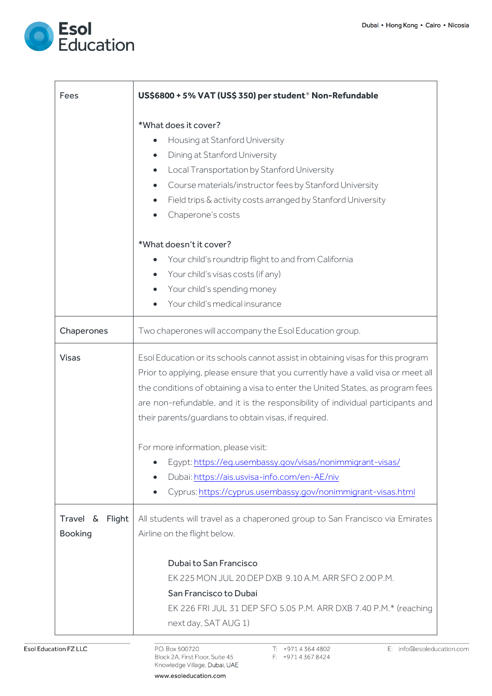

| Fees                              | US\$6800 + 5% VAT (US\$ 350) per student* Non-Refundable                                                                                                                                                                                                                                                                                                                                           |  |  |  |
|-----------------------------------|----------------------------------------------------------------------------------------------------------------------------------------------------------------------------------------------------------------------------------------------------------------------------------------------------------------------------------------------------------------------------------------------------|--|--|--|
|                                   | *What does it cover?<br>Housing at Stanford University<br>$\bullet$<br>Dining at Stanford University<br>$\bullet$<br>Local Transportation by Stanford University<br>$\bullet$<br>Course materials/instructor fees by Stanford University<br>$\bullet$<br>Field trips & activity costs arranged by Stanford University<br>$\bullet$<br>Chaperone's costs<br>$\bullet$                               |  |  |  |
|                                   | *What doesn't it cover?<br>Your child's roundtrip flight to and from California<br>$\bullet$<br>• Your child's visas costs (if any)<br>Your child's spending money<br>$\bullet$<br>Your child's medical insurance                                                                                                                                                                                  |  |  |  |
| Chaperones                        | Two chaperones will accompany the Esol Education group.                                                                                                                                                                                                                                                                                                                                            |  |  |  |
| <b>Visas</b>                      | Esol Education or its schools cannot assist in obtaining visas for this program<br>Prior to applying, please ensure that you currently have a valid visa or meet all<br>the conditions of obtaining a visa to enter the United States, as program fees<br>are non-refundable, and it is the responsibility of individual participants and<br>their parents/guardians to obtain visas, if required. |  |  |  |
|                                   | For more information, please visit:<br>Egypt: https://eq.usembassy.gov/visas/nonimmigrant-visas/<br>Dubai: https://ais.usvisa-info.com/en-AE/niv<br>$\bullet$<br>Cyprus: https://cyprus.usembassy.gov/nonimmigrant-visas.html                                                                                                                                                                      |  |  |  |
| Travel & Flight<br><b>Booking</b> | All students will travel as a chaperoned group to San Francisco via Emirates<br>Airline on the flight below.                                                                                                                                                                                                                                                                                       |  |  |  |
|                                   | Dubai to San Francisco<br>EK 225 MON JUL 20 DEP DXB 9.10 A.M. ARR SFO 2.00 P.M.<br>San Francisco to Dubai<br>EK 226 FRI JUL 31 DEP SFO 5.05 P.M. ARR DXB 7.40 P.M.* (reaching<br>next day, SAT AUG 1)                                                                                                                                                                                              |  |  |  |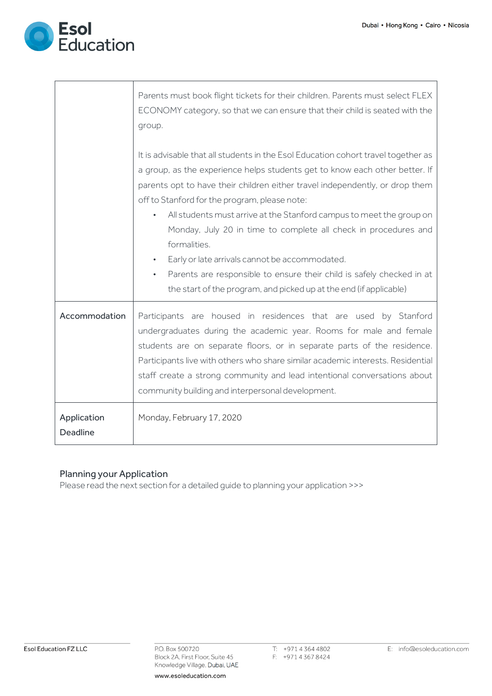

 $\overline{\phantom{a}}$ 

 $\sqrt{ }$ 

|                         | Parents must book flight tickets for their children. Parents must select FLEX                                                                                                                                                                                                                                                                                                                                                        |  |  |  |  |
|-------------------------|--------------------------------------------------------------------------------------------------------------------------------------------------------------------------------------------------------------------------------------------------------------------------------------------------------------------------------------------------------------------------------------------------------------------------------------|--|--|--|--|
|                         | ECONOMY category, so that we can ensure that their child is seated with the                                                                                                                                                                                                                                                                                                                                                          |  |  |  |  |
|                         | group.                                                                                                                                                                                                                                                                                                                                                                                                                               |  |  |  |  |
|                         |                                                                                                                                                                                                                                                                                                                                                                                                                                      |  |  |  |  |
|                         | It is advisable that all students in the Esol Education cohort travel together as                                                                                                                                                                                                                                                                                                                                                    |  |  |  |  |
|                         | a group, as the experience helps students get to know each other better. If                                                                                                                                                                                                                                                                                                                                                          |  |  |  |  |
|                         | parents opt to have their children either travel independently, or drop them                                                                                                                                                                                                                                                                                                                                                         |  |  |  |  |
|                         | off to Stanford for the program, please note:                                                                                                                                                                                                                                                                                                                                                                                        |  |  |  |  |
|                         | All students must arrive at the Stanford campus to meet the group on<br>$\bullet$                                                                                                                                                                                                                                                                                                                                                    |  |  |  |  |
|                         | Monday, July 20 in time to complete all check in procedures and                                                                                                                                                                                                                                                                                                                                                                      |  |  |  |  |
|                         | formalities.                                                                                                                                                                                                                                                                                                                                                                                                                         |  |  |  |  |
|                         | Early or late arrivals cannot be accommodated.<br>$\bullet$                                                                                                                                                                                                                                                                                                                                                                          |  |  |  |  |
|                         | Parents are responsible to ensure their child is safely checked in at<br>$\bullet$                                                                                                                                                                                                                                                                                                                                                   |  |  |  |  |
|                         | the start of the program, and picked up at the end (if applicable)                                                                                                                                                                                                                                                                                                                                                                   |  |  |  |  |
| Accommodation           | Participants are housed in residences that are used by Stanford<br>undergraduates during the academic year. Rooms for male and female<br>students are on separate floors, or in separate parts of the residence.<br>Participants live with others who share similar academic interests. Residential<br>staff create a strong community and lead intentional conversations about<br>community building and interpersonal development. |  |  |  |  |
| Application<br>Deadline | Monday, February 17, 2020                                                                                                                                                                                                                                                                                                                                                                                                            |  |  |  |  |

#### Planning your Application

Please read the next section for a detailed guide to planning your application >>>

P.O. Box 500720 Block 2A, First Floor, Suite 45 Knowledge Village, Dubai, UAE T: +97143644802 F: +97143678424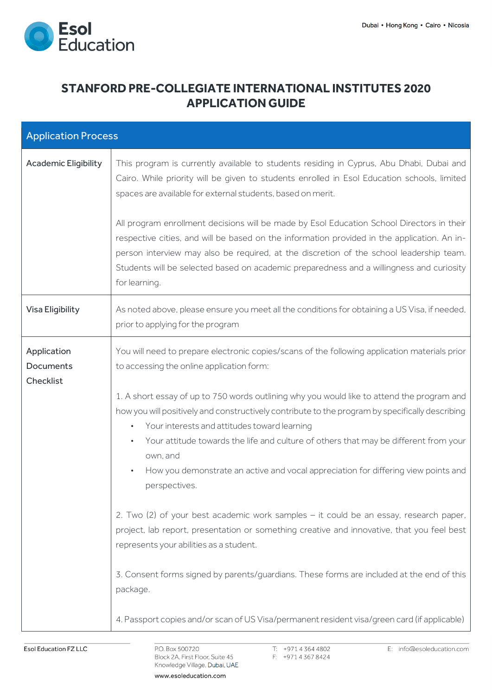

### **STANFORD PRE-COLLEGIATE INTERNATIONAL INSTITUTES 2020 APPLICATION GUIDE**

| <b>Application Process</b>            |                                                                                                                                                                                                                                                                                                                                                                                                                                                                   |  |  |
|---------------------------------------|-------------------------------------------------------------------------------------------------------------------------------------------------------------------------------------------------------------------------------------------------------------------------------------------------------------------------------------------------------------------------------------------------------------------------------------------------------------------|--|--|
| <b>Academic Eligibility</b>           | This program is currently available to students residing in Cyprus, Abu Dhabi, Dubai and<br>Cairo. While priority will be given to students enrolled in Esol Education schools, limited<br>spaces are available for external students, based on merit.                                                                                                                                                                                                            |  |  |
|                                       | All program enrollment decisions will be made by Esol Education School Directors in their<br>respective cities, and will be based on the information provided in the application. An in-<br>person interview may also be required, at the discretion of the school leadership team.<br>Students will be selected based on academic preparedness and a willingness and curiosity<br>for learning.                                                                  |  |  |
| Visa Eligibility                      | As noted above, please ensure you meet all the conditions for obtaining a US Visa, if needed,<br>prior to applying for the program                                                                                                                                                                                                                                                                                                                                |  |  |
| Application<br>Documents<br>Checklist | You will need to prepare electronic copies/scans of the following application materials prior<br>to accessing the online application form:                                                                                                                                                                                                                                                                                                                        |  |  |
|                                       | 1. A short essay of up to 750 words outlining why you would like to attend the program and<br>how you will positively and constructively contribute to the program by specifically describing<br>Your interests and attitudes toward learning<br>$\bullet$<br>Your attitude towards the life and culture of others that may be different from your<br>$\bullet$<br>own, and<br>How you demonstrate an active and vocal appreciation for differing view points and |  |  |
|                                       | perspectives.<br>2. Two (2) of your best academic work samples - it could be an essay, research paper,<br>project, lab report, presentation or something creative and innovative, that you feel best<br>represents your abilities as a student.<br>3. Consent forms signed by parents/guardians. These forms are included at the end of this                                                                                                                      |  |  |
|                                       | package.<br>4. Passport copies and/or scan of US Visa/permanent resident visa/green card (if applicable)                                                                                                                                                                                                                                                                                                                                                          |  |  |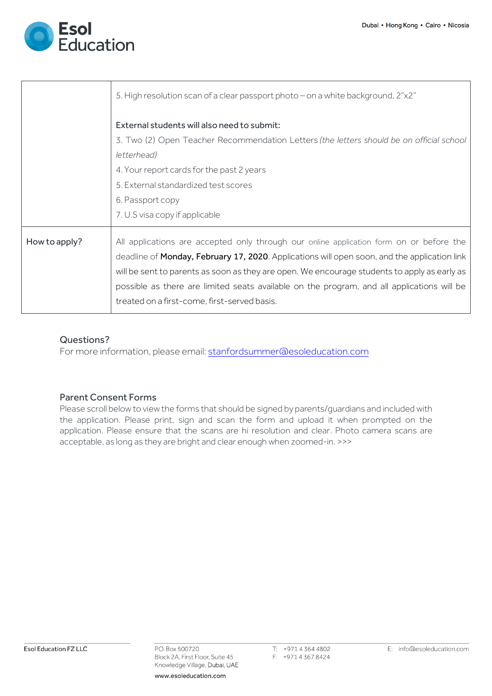

|               | 5. High resolution scan of a clear passport photo - on a white background, 2"x2"                                                                                                                                                                                                                                                                                                                                                      |  |  |
|---------------|---------------------------------------------------------------------------------------------------------------------------------------------------------------------------------------------------------------------------------------------------------------------------------------------------------------------------------------------------------------------------------------------------------------------------------------|--|--|
|               | External students will also need to submit:<br>3. Two (2) Open Teacher Recommendation Letters (the letters should be on official school                                                                                                                                                                                                                                                                                               |  |  |
|               | letterhead)<br>4. Your report cards for the past 2 years<br>5. External standardized test scores                                                                                                                                                                                                                                                                                                                                      |  |  |
|               | 6. Passport copy<br>7. U.S visa copy if applicable                                                                                                                                                                                                                                                                                                                                                                                    |  |  |
| How to apply? | All applications are accepted only through our online application form on or before the<br>deadline of Monday, February 17, 2020. Applications will open soon, and the application link<br>will be sent to parents as soon as they are open. We encourage students to apply as early as<br>possible as there are limited seats available on the program, and all applications will be<br>treated on a first-come, first-served basis. |  |  |

#### Questions?

For more information, please email: stanfordsummer@esoleducation.com

#### Parent Consent Forms

Please scroll below to view the forms that should be signed by parents/guardians and included with the application. Please print, sign and scan the form and upload it when prompted on the application. Please ensure that the scans are hi resolution and clear. Photo camera scans are acceptable, as long as they are bright and clear enough when zoomed-in. >>>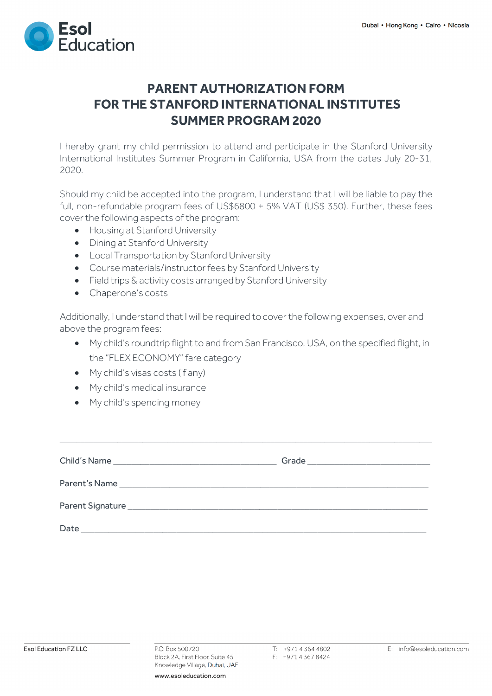

# **PARENT AUTHORIZATION FORM FOR THE STANFORD INTERNATIONAL INSTITUTES SUMMER PROGRAM 2020**

I hereby grant my child permission to attend and participate in the Stanford University International Institutes Summer Program in California, USA from the dates July 20-31, 2020.

Should my child be accepted into the program, I understand that I will be liable to pay the full, non-refundable program fees of US\$6800 + 5% VAT (US\$ 350). Further, these fees cover the following aspects of the program:

- Housing at Stanford University
- Dining at Stanford University
- Local Transportation by Stanford University
- Course materials/instructor fees by Stanford University
- Field trips & activity costs arranged by Stanford University
- Chaperone's costs

Additionally, I understand that I will be required to cover the following expenses, over and above the program fees:

- My child's roundtrip flight to and from San Francisco, USA, on the specified flight, in the "FLEX ECONOMY" fare category
- My child's visas costs (if any)
- My child's medical insurance
- My child's spending money

| Date<br>the control of the control of the control of the control of the control of the control of |  |
|---------------------------------------------------------------------------------------------------|--|

 $\_$  ,  $\_$  ,  $\_$  ,  $\_$  ,  $\_$  ,  $\_$  ,  $\_$  ,  $\_$  ,  $\_$  ,  $\_$  ,  $\_$  ,  $\_$  ,  $\_$  ,  $\_$  ,  $\_$  ,  $\_$  ,  $\_$  ,  $\_$  ,  $\_$  ,  $\_$  ,  $\_$  ,  $\_$  ,  $\_$  ,  $\_$  ,  $\_$  ,  $\_$  ,  $\_$  ,  $\_$  ,  $\_$  ,  $\_$  ,  $\_$  ,  $\_$  ,  $\_$  ,  $\_$  ,  $\_$  ,  $\_$  ,  $\_$  ,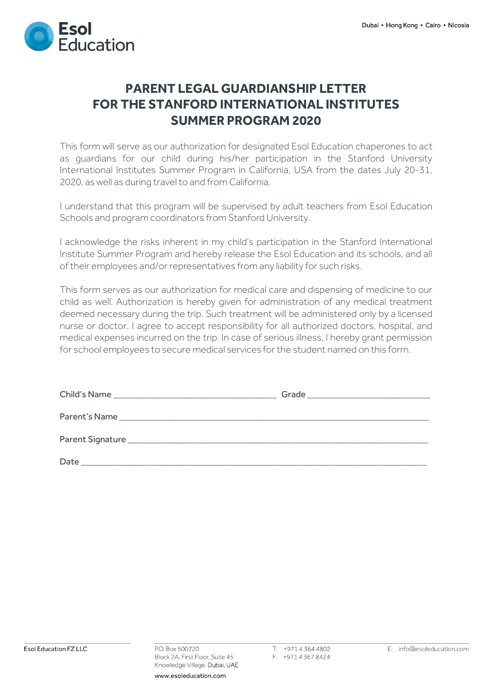

# **PARENT LEGAL GUARDIANSHIP LETTER FOR THE STANFORD INTERNATIONAL INSTITUTES SUMMER PROGRAM 2020**

This form will serve as our authorization for designated Esol Education chaperones to act as guardians for our child during his/her participation in the Stanford University International Institutes Summer Program in California, USA from the dates July 20-31, 2020, as well as during travel to and from California.

I understand that this program will be supervised by adult teachers from Esol Education Schools and program coordinators from Stanford University.

I acknowledge the risks inherent in my child's participation in the Stanford International Institute Summer Program and hereby release the Esol Education and its schools, and all of their employees and/or representatives from any liability for such risks.

This form serves as our authorization for medical care and dispensing of medicine to our child as well. Authorization is hereby given for administration of any medical treatment deemed necessary during the trip. Such treatment will be administered only by a licensed nurse or doctor. I agree to accept responsibility for all authorized doctors, hospital, and medical expenses incurred on the trip. In case of serious illness, I hereby grant permission for school employees to secure medical services for the student named on this form.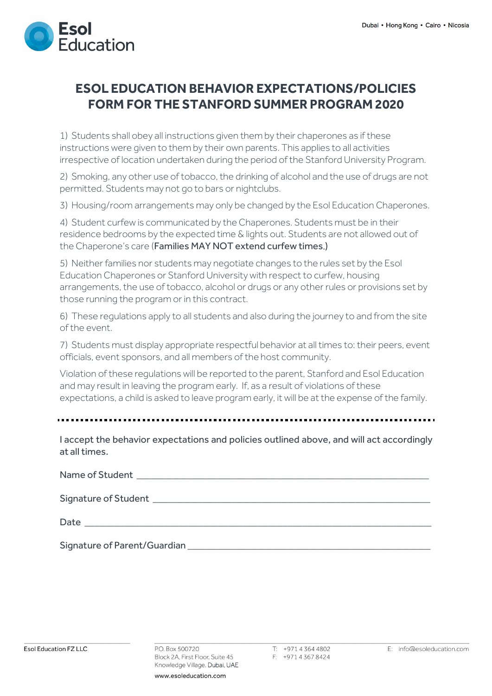

# **ESOL EDUCATION BEHAVIOR EXPECTATIONS/POLICIES FORM FOR THE STANFORD SUMMER PROGRAM 2020**

1) Students shall obey all instructions given them by their chaperones as if these instructions were given to them by their own parents. This applies to all activities irrespective of location undertaken during the period of the Stanford University Program.

2) Smoking, any other use of tobacco, the drinking of alcohol and the use of drugs are not permitted. Students may not go to bars or nightclubs.

3) Housing/room arrangements may only be changed by the Esol Education Chaperones.

4) Student curfew is communicated by the Chaperones. Students must be in their residence bedrooms by the expected time & lights out. Students are not allowed out of the Chaperone's care (Families MAY NOT extend curfew times.)

5) Neither families nor students may negotiate changes to the rules set by the Esol Education Chaperones or Stanford University with respect to curfew, housing arrangements, the use of tobacco, alcohol or drugs or any other rules or provisions set by those running the program or in this contract.

6) These regulations apply to all students and also during the journey to and from the site of the event.

7) Students must display appropriate respectful behavior at all times to: their peers, event officials, event sponsors, and all members of the host community.

Violation of these regulations will be reported to the parent, Stanford and Esol Education and may result in leaving the program early. If, as a result of violations of these expectations, a child is asked to leave program early, it will be at the expense of the family.

I accept the behavior expectations and policies outlined above, and will act accordingly at all times.

| Signature of Parent/Guardian |
|------------------------------|